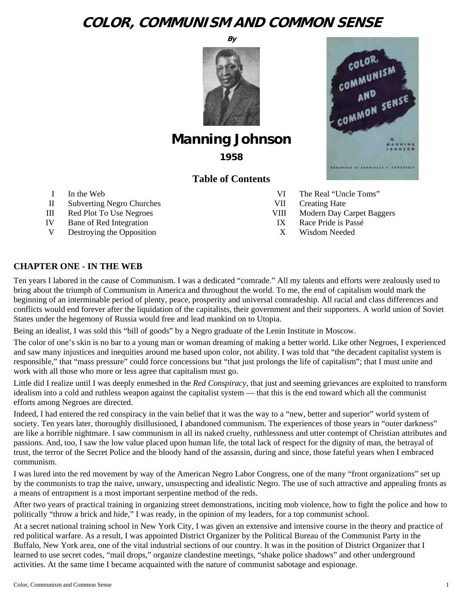# **COLOR, COMMUNISM AND COMMON SENSE**



# **Manning Johnson 1958**

#### **Table of Contents**

- I In the Web
- II Subverting Negro Churches
- III Red Plot To Use Negroes
- IV Bane of Red Integration
- V Destroying the Opposition



| VI   | The Real "Uncle Toms"            |
|------|----------------------------------|
| -VII | <b>Creating Hate</b>             |
| VIII | <b>Modern Day Carpet Baggers</b> |
| IX   | Race Pride is Passé              |
| X    | Wisdom Needed                    |

#### **CHAPTER ONE - IN THE WEB**

Ten years I labored in the cause of Communism. I was a dedicated "comrade." All my talents and efforts were zealously used to bring about the triumph of Communism in America and throughout the world. To me, the end of capitalism would mark the beginning of an interminable period of plenty, peace, prosperity and universal comradeship. All racial and class differences and conflicts would end forever after the liquidation of the capitalists, their government and their supporters. A world union of Soviet States under the hegemony of Russia would free and lead mankind on to Utopia.

Being an idealist, I was sold this "bill of goods" by a Negro graduate of the Lenin Institute in Moscow.

The color of one's skin is no bar to a young man or woman dreaming of making a better world. Like other Negroes, I experienced and saw many injustices and inequities around me based upon color, not ability. I was told that "the decadent capitalist system is responsible," that "mass pressure" could force concessions but "that just prolongs the life of capitalism"; that I must unite and work with all those who more or less agree that capitalism must go.

Little did I realize until I was deeply enmeshed in the *Red Conspiracy,* that just and seeming grievances are exploited to transform idealism into a cold and ruthless weapon against the capitalist system — that this is the end toward which all the communist efforts among Negroes are directed.

Indeed, I had entered the red conspiracy in the vain belief that it was the way to a "new, better and superior" world system of society. Ten years later, thoroughly disillusioned, I abandoned communism. The experiences of those years in "outer darkness" are like a horrible nightmare. I saw communism in all its naked cruelty, ruthlessness and utter contempt of Christian attributes and passions. And, too, I saw the low value placed upon human life, the total lack of respect for the dignity of man, the betrayal of trust, the terror of the Secret Police and the bloody hand of the assassin, during and since, those fateful years when I embraced communism.

I was lured into the red movement by way of the American Negro Labor Congress, one of the many "front organizations" set up by the communists to trap the naive, unwary, unsuspecting and idealistic Negro. The use of such attractive and appealing fronts as a means of entrapment is a most important serpentine method of the reds.

After two years of practical training in organizing street demonstrations, inciting mob violence, how to fight the police and how to politically "throw a brick and hide," I was ready, in the opinion of my leaders, for a top communist school.

At a secret national training school in New York City, I was given an extensive and intensive course in the theory and practice of red political warfare. As a result, I was appointed District Organizer by the Political Bureau of the Communist Party in the Buffalo, New York area, one of the vital industrial sections of our country. It was in the position of District Organizer that I learned to use secret codes, "mail drops," organize clandestine meetings, "shake police shadows" and other underground activities. At the same time I became acquainted with the nature of communist sabotage and espionage.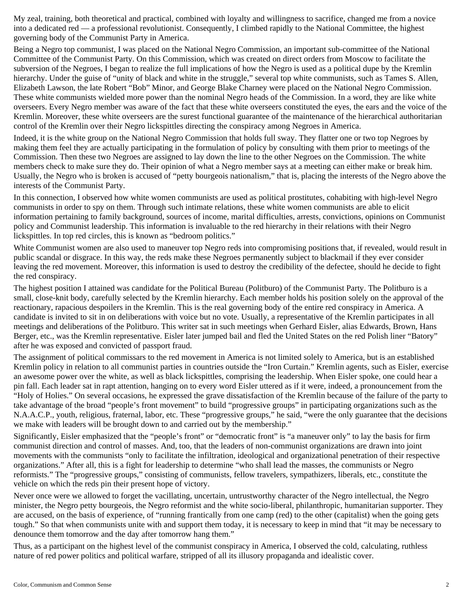My zeal, training, both theoretical and practical, combined with loyalty and willingness to sacrifice, changed me from a novice into a dedicated red — a professional revolutionist. Consequently, I climbed rapidly to the National Committee, the highest governing body of the Communist Party in America.

Being a Negro top communist, I was placed on the National Negro Commission, an important sub-committee of the National Committee of the Communist Party. On this Commission, which was created on direct orders from Moscow to facilitate the subversion of the Negroes, I began to realize the full implications of how the Negro is used as a political dupe by the Kremlin hierarchy. Under the guise of "unity of black and white in the struggle," several top white communists, such as Tames S. Allen, Elizabeth Lawson, the late Robert "Bob" Minor, and George Blake Charney were placed on the National Negro Commission. These white communists wielded more power than the nominal Negro heads of the Commission. In a word, they are like white overseers. Every Negro member was aware of the fact that these white overseers constituted the eyes, the ears and the voice of the Kremlin. Moreover, these white overseers are the surest functional guarantee of the maintenance of the hierarchical authoritarian control of the Kremlin over their Negro lickspittles directing the conspiracy among Negroes in America.

Indeed, it is the white group on the National Negro Commission that holds full sway. They flatter one or two top Negroes by making them feel they are actually participating in the formulation of policy by consulting with them prior to meetings of the Commission. Then these two Negroes are assigned to lay down the line to the other Negroes on the Commission. The white members check to make sure they do. Their opinion of what a Negro member says at a meeting can either make or break him. Usually, the Negro who is broken is accused of "petty bourgeois nationalism," that is, placing the interests of the Negro above the interests of the Communist Party.

In this connection, I observed how white women communists are used as political prostitutes, cohabiting with high-level Negro communists in order to spy on them. Through such intimate relations, these white women communists are able to elicit information pertaining to family background, sources of income, marital difficulties, arrests, convictions, opinions on Communist policy and Communist leadership. This information is invaluable to the red hierarchy in their relations with their Negro lickspittles. In top red circles, this is known as "bedroom politics."

White Communist women are also used to maneuver top Negro reds into compromising positions that, if revealed, would result in public scandal or disgrace. In this way, the reds make these Negroes permanently subject to blackmail if they ever consider leaving the red movement. Moreover, this information is used to destroy the credibility of the defectee, should he decide to fight the red conspiracy.

The highest position I attained was candidate for the Political Bureau (Politburo) of the Communist Party. The Politburo is a small, close-knit body, carefully selected by the Kremlin hierarchy. Each member holds his position solely on the approval of the reactionary, rapacious despoilers in the Kremlin. This is the real governing body of the entire red conspiracy in America. A candidate is invited to sit in on deliberations with voice but no vote. Usually, a representative of the Kremlin participates in all meetings and deliberations of the Politburo. This writer sat in such meetings when Gerhard Eisler, alias Edwards, Brown, Hans Berger, etc., was the Kremlin representative. Eisler later jumped bail and fled the United States on the red Polish liner "Batory" after he was exposed and convicted of passport fraud.

The assignment of political commissars to the red movement in America is not limited solely to America, but is an established Kremlin policy in relation to all communist parties in countries outside the "Iron Curtain." Kremlin agents, such as Eisler, exercise an awesome power over the white, as well as black lickspittles, comprising the leadership. When Eisler spoke, one could hear a pin fall. Each leader sat in rapt attention, hanging on to every word Eisler uttered as if it were, indeed, a pronouncement from the "Holy of Holies." On several occasions, he expressed the grave dissatisfaction of the Kremlin because of the failure of the party to take advantage of the broad "people's front movement" to build "progressive groups" in participating organizations such as the N.A.A.C.P., youth, religious, fraternal, labor, etc. These "progressive groups," he said, "were the only guarantee that the decisions we make with leaders will be brought down to and carried out by the membership."

Significantly, Eisler emphasized that the "people's front" or "democratic front" is "a maneuver only" to lay the basis for firm communist direction and control of masses. And, too, that the leaders of non-communist organizations are drawn into joint movements with the communists "only to facilitate the infiltration, ideological and organizational penetration of their respective organizations." After all, this is a fight for leadership to determine "who shall lead the masses, the communists or Negro reformists." The "progressive groups," consisting of communists, fellow travelers, sympathizers, liberals, etc., constitute the vehicle on which the reds pin their present hope of victory.

Never once were we allowed to forget the vacillating, uncertain, untrustworthy character of the Negro intellectual, the Negro minister, the Negro petty bourgeois, the Negro reformist and the white socio-liberal, philanthropic, humanitarian supporter. They are accused, on the basis of experience, of "running frantically from one camp (red) to the other (capitalist) when the going gets tough." So that when communists unite with and support them today, it is necessary to keep in mind that "it may be necessary to denounce them tomorrow and the day after tomorrow hang them."

Thus, as a participant on the highest level of the communist conspiracy in America, I observed the cold, calculating, ruthless nature of red power politics and political warfare, stripped of all its illusory propaganda and idealistic cover.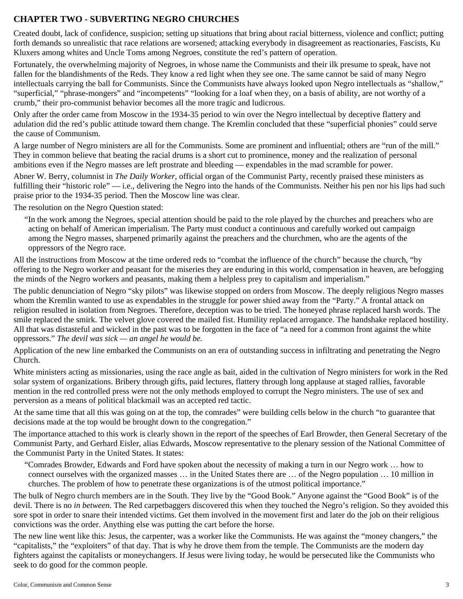### **CHAPTER TWO - SUBVERTING NEGRO CHURCHES**

Created doubt, lack of confidence, suspicion; setting up situations that bring about racial bitterness, violence and conflict; putting forth demands so unrealistic that race relations are worsened; attacking everybody in disagreement as reactionaries, Fascists, Ku Kluxers among whites and Uncle Toms among Negroes, constitute the red's pattern of operation.

Fortunately, the overwhelming majority of Negroes, in whose name the Communists and their ilk presume to speak, have not fallen for the blandishments of the Reds. They know a red light when they see one. The same cannot be said of many Negro intellectuals carrying the ball for Communists. Since the Communists have always looked upon Negro intellectuals as "shallow," "superficial," "phrase-mongers" and "incompetents" "looking for a loaf when they, on a basis of ability, are not worthy of a crumb," their pro-communist behavior becomes all the more tragic and ludicrous.

Only after the order came from Moscow in the 1934-35 period to win over the Negro intellectual by deceptive flattery and adulation did the red's public attitude toward them change. The Kremlin concluded that these "superficial phonies" could serve the cause of Communism.

A large number of Negro ministers are all for the Communists. Some are prominent and influential; others are "run of the mill." They in common believe that beating the racial drums is a short cut to prominence, money and the realization of personal ambitions even if the Negro masses are left prostrate and bleeding — expendables in the mad scramble for power.

Abner W. Berry, columnist in *The Daily Worker,* official organ of the Communist Party, recently praised these ministers as fulfilling their "historic role" — i.e., delivering the Negro into the hands of the Communists. Neither his pen nor his lips had such praise prior to the 1934-35 period. Then the Moscow line was clear.

The resolution on the Negro Question stated:

"In the work among the Negroes, special attention should be paid to the role played by the churches and preachers who are acting on behalf of American imperialism. The Party must conduct a continuous and carefully worked out campaign among the Negro masses, sharpened primarily against the preachers and the churchmen, who are the agents of the oppressors of the Negro race.

All the instructions from Moscow at the time ordered reds to "combat the influence of the church" because the church, "by offering to the Negro worker and peasant for the miseries they are enduring in this world, compensation in heaven, are befogging the minds of the Negro workers and peasants, making them a helpless prey to capitalism and imperialism."

The public denunciation of Negro "sky pilots" was likewise stopped on orders from Moscow. The deeply religious Negro masses whom the Kremlin wanted to use as expendables in the struggle for power shied away from the "Party." A frontal attack on religion resulted in isolation from Negroes. Therefore, deception was to be tried. The honeyed phrase replaced harsh words. The smile replaced the smirk. The velvet glove covered the mailed fist. Humility replaced arrogance. The handshake replaced hostility. All that was distasteful and wicked in the past was to be forgotten in the face of "a need for a common front against the white oppressors." *The devil was sick — an angel he would be.*

Application of the new line embarked the Communists on an era of outstanding success in infiltrating and penetrating the Negro Church.

White ministers acting as missionaries, using the race angle as bait, aided in the cultivation of Negro ministers for work in the Red solar system of organizations. Bribery through gifts, paid lectures, flattery through long applause at staged rallies, favorable mention in the red controlled press were not the only methods employed to corrupt the Negro ministers. The use of sex and perversion as a means of political blackmail was an accepted red tactic.

At the same time that all this was going on at the top, the comrades" were building cells below in the church "to guarantee that decisions made at the top would be brought down to the congregation."

The importance attached to this work is clearly shown in the report of the speeches of Earl Browder, then General Secretary of the Communist Party, and Gerhard Eisler, alias Edwards, Moscow representative to the plenary session of the National Committee of the Communist Party in the United States. It states:

"Comrades Browder, Edwards and Ford have spoken about the necessity of making a turn in our Negro work … how to connect ourselves with the organized masses … in the United States there are … of the Negro population … 10 million in churches. The problem of how to penetrate these organizations is of the utmost political importance."

The bulk of Negro church members are in the South. They live by the "Good Book." Anyone against the "Good Book" is of the devil. There is no *in between*. The Red carpetbaggers discovered this when they touched the Negro's religion. So they avoided this sore spot in order to snare their intended victims. Get them involved in the movement first and later do the job on their religious convictions was the order. Anything else was putting the cart before the horse.

The new line went like this: Jesus, the carpenter, was a worker like the Communists. He was against the "money changers," the "capitalists," the "exploiters" of that day. That is why he drove them from the temple. The Communists are the modern day fighters against the capitalists or moneychangers. If Jesus were living today, he would be persecuted like the Communists who seek to do good for the common people.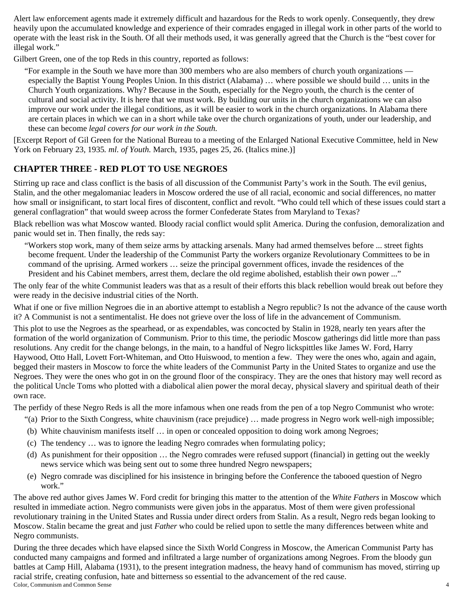Alert law enforcement agents made it extremely difficult and hazardous for the Reds to work openly. Consequently, they drew heavily upon the accumulated knowledge and experience of their comrades engaged in illegal work in other parts of the world to operate with the least risk in the South. Of all their methods used, it was generally agreed that the Church is the "best cover for illegal work."

Gilbert Green, one of the top Reds in this country, reported as follows:

"For example in the South we have more than 300 members who are also members of church youth organizations especially the Baptist Young Peoples Union. In this district (Alabama) … where possible we should build … units in the Church Youth organizations. Why? Because in the South, especially for the Negro youth, the church is the center of cultural and social activity. It is here that we must work. By building our units in the church organizations we can also improve our work under the illegal conditions, as it will be easier to work in the church organizations. In Alabama there are certain places in which we can in a short while take over the church organizations of youth, under our leadership, and these can become *legal covers for our work in the South.*

[Excerpt Report of Gil Green for the National Bureau to a meeting of the Enlarged National Executive Committee, held in New York on February 23, 1935*. ml. of Youth.* March, 1935, pages 25, 26. (Italics mine.)]

## **CHAPTER THREE - RED PLOT TO USE NEGROES**

Stirring up race and class conflict is the basis of all discussion of the Communist Party's work in the South. The evil genius, Stalin, and the other megalomaniac leaders in Moscow ordered the use of all racial, economic and social differences, no matter how small or insignificant, to start local fires of discontent, conflict and revolt. "Who could tell which of these issues could start a general conflagration" that would sweep across the former Confederate States from Maryland to Texas?

Black rebellion was what Moscow wanted. Bloody racial conflict would split America. During the confusion, demoralization and panic would set in. Then finally, the reds say:

"Workers stop work, many of them seize arms by attacking arsenals. Many had armed themselves before ... street fights become frequent. Under the leadership of the Communist Party the workers organize Revolutionary Committees to be in command of the uprising. Armed workers … seize the principal government offices, invade the residences of the President and his Cabinet members, arrest them, declare the old regime abolished, establish their own power ..."

The only fear of the white Communist leaders was that as a result of their efforts this black rebellion would break out before they were ready in the decisive industrial cities of the North.

What if one or five million Negroes die in an abortive attempt to establish a Negro republic? Is not the advance of the cause worth it? A Communist is not a sentimentalist. He does not grieve over the loss of life in the advancement of Communism.

This plot to use the Negroes as the spearhead, or as expendables, was concocted by Stalin in 1928, nearly ten years after the formation of the world organization of Communism. Prior to this time, the periodic Moscow gatherings did little more than pass resolutions. Any credit for the change belongs, in the main, to a handful of Negro lickspittles like James W. Ford, Harry Haywood, Otto Hall, Lovett Fort-Whiteman, and Otto Huiswood, to mention a few. They were the ones who, again and again, begged their masters in Moscow to force the white leaders of the Communist Party in the United States to organize and use the Negroes. They were the ones who got in on the ground floor of the conspiracy. They are the ones that history may well record as the political Uncle Toms who plotted with a diabolical alien power the moral decay, physical slavery and spiritual death of their own race.

The perfidy of these Negro Reds is all the more infamous when one reads from the pen of a top Negro Communist who wrote:

- "(a) Prior to the Sixth Congress, white chauvinism (race prejudice) … made progress in Negro work well-nigh impossible;
- (b) White chauvinism manifests itself … in open or concealed opposition to doing work among Negroes;
- (c) The tendency … was to ignore the leading Negro comrades when formulating policy;
- (d) As punishment for their opposition … the Negro comrades were refused support (financial) in getting out the weekly news service which was being sent out to some three hundred Negro newspapers;
- (e) Negro comrade was disciplined for his insistence in bringing before the Conference the tabooed question of Negro work."

The above red author gives James W. Ford credit for bringing this matter to the attention of the *White Fathers* in Moscow which resulted in immediate action. Negro communists were given jobs in the apparatus. Most of them were given professional revolutionary training in the United States and Russia under direct orders from Stalin. As a result, Negro reds began looking to Moscow. Stalin became the great and just *Father* who could be relied upon to settle the many differences between white and Negro communists.

Color, Communism and Common Sense 4 During the three decades which have elapsed since the Sixth World Congress in Moscow, the American Communist Party has conducted many campaigns and formed and infiltrated a large number of organizations among Negroes. From the bloody gun battles at Camp Hill, Alabama (1931), to the present integration madness, the heavy hand of communism has moved, stirring up racial strife, creating confusion, hate and bitterness so essential to the advancement of the red cause.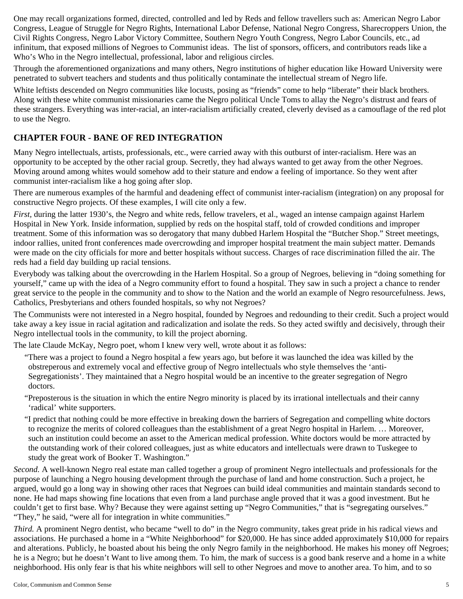One may recall organizations formed, directed, controlled and led by Reds and fellow travellers such as: American Negro Labor Congress, League of Struggle for Negro Rights, International Labor Defense, National Negro Congress, Sharecroppers Union, the Civil Rights Congress, Negro Labor Victory Committee, Southern Negro Youth Congress, Negro Labor Councils, etc., ad infinitum, that exposed millions of Negroes to Communist ideas. The list of sponsors, officers, and contributors reads like a Who's Who in the Negro intellectual, professional, labor and religious circles.

Through the aforementioned organizations and many others, Negro institutions of higher education like Howard University were penetrated to subvert teachers and students and thus politically contaminate the intellectual stream of Negro life.

White leftists descended on Negro communities like locusts, posing as "friends" come to help "liberate" their black brothers. Along with these white communist missionaries came the Negro political Uncle Toms to allay the Negro's distrust and fears of these strangers. Everything was inter-racial, an inter-racialism artificially created, cleverly devised as a camouflage of the red plot to use the Negro.

#### **CHAPTER FOUR - BANE OF RED INTEGRATION**

Many Negro intellectuals, artists, professionals, etc., were carried away with this outburst of inter-racialism. Here was an opportunity to be accepted by the other racial group. Secretly, they had always wanted to get away from the other Negroes. Moving around among whites would somehow add to their stature and endow a feeling of importance. So they went after communist inter-racialism like a hog going after slop.

There are numerous examples of the harmful and deadening effect of communist inter-racialism (integration) on any proposal for constructive Negro projects. Of these examples, I will cite only a few.

*First,* during the latter 1930's, the Negro and white reds, fellow travelers, et al., waged an intense campaign against Harlem Hospital in New York. Inside information, supplied by reds on the hospital staff, told of crowded conditions and improper treatment. Some of this information was so derogatory that many dubbed Harlem Hospital the "Butcher Shop." Street meetings, indoor rallies, united front conferences made overcrowding and improper hospital treatment the main subject matter. Demands were made on the city officials for more and better hospitals without success. Charges of race discrimination filled the air. The reds had a field day building up racial tensions.

Everybody was talking about the overcrowding in the Harlem Hospital. So a group of Negroes, believing in "doing something for yourself," came up with the idea of a Negro community effort to found a hospital. They saw in such a project a chance to render great service to the people in the community and to show to the Nation and the world an example of Negro resourcefulness. Jews, Catholics, Presbyterians and others founded hospitals, so why not Negroes?

The Communists were not interested in a Negro hospital, founded by Negroes and redounding to their credit. Such a project would take away a key issue in racial agitation and radicalization and isolate the reds. So they acted swiftly and decisively, through their Negro intellectual tools in the community, to kill the project aborning.

The late Claude McKay, Negro poet, whom I knew very well, wrote about it as follows:

- "There was a project to found a Negro hospital a few years ago, but before it was launched the idea was killed by the obstreperous and extremely vocal and effective group of Negro intellectuals who style themselves the 'anti-Segregationists'. They maintained that a Negro hospital would be an incentive to the greater segregation of Negro doctors.
- "Preposterous is the situation in which the entire Negro minority is placed by its irrational intellectuals and their canny 'radical' white supporters.
- "I predict that nothing could be more effective in breaking down the barriers of Segregation and compelling white doctors to recognize the merits of colored colleagues than the establishment of a great Negro hospital in Harlem. … Moreover, such an institution could become an asset to the American medical profession. White doctors would be more attracted by the outstanding work of their colored colleagues, just as white educators and intellectuals were drawn to Tuskegee to study the great work of Booker T. Washington."

*Second.* A well-known Negro real estate man called together a group of prominent Negro intellectuals and professionals for the purpose of launching a Negro housing development through the purchase of land and home construction. Such a project, he argued, would go a long way in showing other races that Negroes can build ideal communities and maintain standards second to none. He had maps showing fine locations that even from a land purchase angle proved that it was a good investment. But he couldn't get to first base. Why? Because they were against setting up "Negro Communities," that is "segregating ourselves." "They," he said, "were all for integration in white communities."

*Third.* A prominent Negro dentist, who became "well to do" in the Negro community, takes great pride in his radical views and associations. He purchased a home in a "White Neighborhood" for \$20,000. He has since added approximately \$10,000 for repairs and alterations. Publicly, he boasted about his being the only Negro family in the neighborhood. He makes his money off Negroes; he is a Negro; but he doesn't Want to live among them. To him, the mark of success is a good bank reserve and a home in a white neighborhood. His only fear is that his white neighbors will sell to other Negroes and move to another area. To him, and to so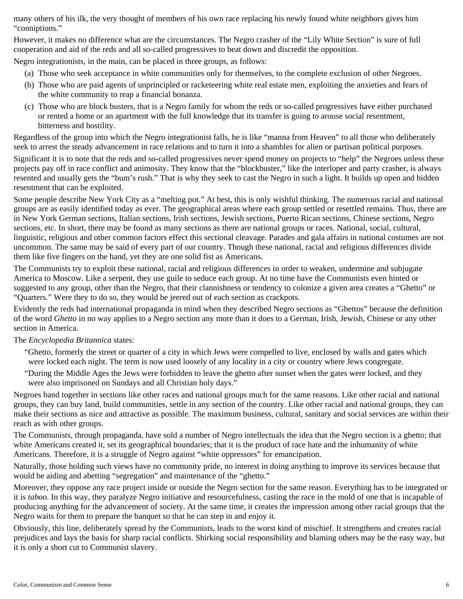many others of his ilk, the very thought of members of his own race replacing his newly found white neighbors gives him "conniptions."

However, it makes no difference what are the circumstances. The Negro crasher of the "Lily White Section" is sure of full cooperation and aid of the reds and all so-called progressives to beat down and discredit the opposition.

Negro integrationists, in the main, can be placed in three groups, as follows:

- (a) Those who seek acceptance in white communities only for themselves, to the complete exclusion of other Negroes.
- (b) Those who are paid agents of unprincipled or racketeering white real estate men, exploiting the anxieties and fears of the white community to reap a financial bonanza.
- (c) Those who are block busters, that is a Negro family for whom the reds or so-called progressives have either purchased or rented a home or an apartment with the full knowledge that its transfer is going to arouse social resentment, bitterness and hostility.

Regardless of the group into which the Negro integrationist falls, he is like "manna from Heaven" to all those who deliberately seek to arrest the steady advancement in race relations and to turn it into a shambles for alien or partisan political purposes.

Significant it is to note that the reds and so-called progressives never spend money on projects to "help" the Negroes unless these projects pay off in race conflict and animosity. They know that the "blockbuster," like the interloper and party crasher, is always resented and usually gets the "bum's rush." That is why they seek to cast the Negro in such a light. It builds up open and hidden resentment that can be exploited.

Some people describe New York City as a "melting pot." At best, this is only wishful thinking. The numerous racial and national groups are as easily identified today as ever. The geographical areas where each group settled or resettled remains. Thus, there are in New York German sections, Italian sections, Irish sections, Jewish sections, Puerto Rican sections, Chinese sections, Negro sections, etc. In short, there may be found as many sections as there are national groups or races. National, social, cultural, linguistic, religious and other common factors effect this sectional cleavage. Parades and gala affairs in national costumes are not uncommon. The same may be said of every part of our country. Though these national, racial and religious differences divide them like five fingers on the hand, yet they are one solid fist as Americans.

The Communists try to exploit these national, racial and religious differences in order to weaken, undermine and subjugate America to Moscow. Like a serpent, they use guile to seduce each group. At no time have the Communists even hinted or suggested to any group, other than the Negro, that their clannishness or tendency to colonize a given area creates a "Ghetto" or "Quarters." Were they to do so, they would be jeered out of each section as crackpots.

Evidently the reds had international propaganda in mind when they described Negro sections as "Ghettos" because the definition of the word *Ghetto* in no way applies to a Negro section any more than it does to a German, Irish, Jewish, Chinese or any other section in America.

#### The *Encyclopedia Britannica* states:

- "Ghetto, formerly the street or quarter of a city in which Jews were compelled to live, enclosed by walls and gates which were locked each night. The term is now used loosely of any locality in a city or country where Jews congregate.
- "During the Middle Ages the Jews were forbidden to leave the ghetto after sunset when the gates were locked, and they were also imprisoned on Sundays and all Christian holy days."

Negroes band together in sections like other races and national groups much for the same reasons. Like other racial and national groups, they can buy land, build communities, settle in any section of the country. Like other racial and national groups, they can make their sections as nice and attractive as possible. The maximum business, cultural, sanitary and social services are within their reach as with other groups.

The Communists, through propaganda, have sold a number of Negro intellectuals the idea that the Negro section is a ghetto; that white Americans created it, set its geographical boundaries; that it is the product of race hate and the inhumanity of white Americans. Therefore, it is a struggle of Negro against "white oppressors" for emancipation.

Naturally, those holding such views have no community pride, no interest in doing anything to improve its services because that would be aiding and abetting "segregation" and maintenance of the "ghetto."

Moreover, they oppose any race project inside or outside the Negro section for the same reason. Everything has to be integrated or it is *taboo.* In this way, they paralyze Negro initiative and resourcefulness, casting the race in the mold of one that is incapable of producing anything for the advancement of society. At the same time, it creates the impression among other racial groups that the Negro waits for them to prepare the banquet so that he can step in and enjoy it.

Obviously, this line, deliberately spread by the Communists, leads to the worst kind of mischief. It strengthens and creates racial prejudices and lays the basis for sharp racial conflicts. Shirking social responsibility and blaming others may be the easy way, but it is only a short cut to Communist slavery.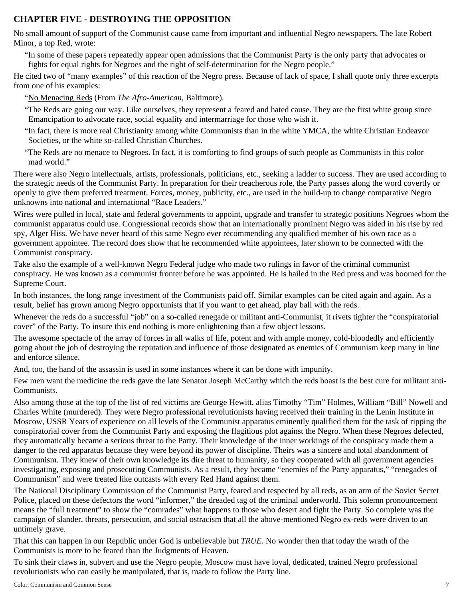#### **CHAPTER FIVE - DESTROYING THE OPPOSITION**

No small amount of support of the Communist cause came from important and influential Negro newspapers. The late Robert Minor, a top Red, wrote:

"In some of these papers repeatedly appear open admissions that the Communist Party is the only party that advocates or fights for equal rights for Negroes and the right of self-determination for the Negro people."

He cited two of "many examples" of this reaction of the Negro press. Because of lack of space, I shall quote only three excerpts from one of his examples:

"No Menacing Reds (From *The Afro-American,* Baltimore).

- "The Reds are going our way. Like ourselves, they represent a feared and hated cause. They are the first white group since Emancipation to advocate race, social equality and intermarriage for those who wish it.
- "In fact, there is more real Christianity among white Communists than in the white YMCA, the white Christian Endeavor Societies, or the white so-called Christian Churches.
- "The Reds are no menace to Negroes. In fact, it is comforting to find groups of such people as Communists in this color mad world."

There were also Negro intellectuals, artists, professionals, politicians, etc., seeking a ladder to success. They are used according to the strategic needs of the Communist Party. In preparation for their treacherous role, the Party passes along the word covertly or openly to give them preferred treatment. Forces, money, publicity, etc., are used in the build-up to change comparative Negro unknowns into national and international "Race Leaders."

Wires were pulled in local, state and federal governments to appoint, upgrade and transfer to strategic positions Negroes whom the communist apparatus could use. Congressional records show that an internationally prominent Negro was aided in his rise by red spy, Alger Hiss. We have never heard of this same Negro ever recommending any qualified member of his own race as a government appointee. The record does show that he recommended white appointees, later shown to be connected with the Communist conspiracy.

Take also the example of a well-known Negro Federal judge who made two rulings in favor of the criminal communist conspiracy. He was known as a communist fronter before he was appointed. He is hailed in the Red press and was boomed for the Supreme Court.

In both instances, the long range investment of the Communists paid off. Similar examples can be cited again and again. As a result, belief has grown among Negro opportunists that if you want to get ahead, play ball with the reds.

Whenever the reds do a successful "job" on a so-called renegade or militant anti-Communist, it rivets tighter the "conspiratorial" cover" of the Party. To insure this end nothing is more enlightening than a few object lessons.

The awesome spectacle of the array of forces in all walks of life, potent and with ample money, cold-bloodedly and efficiently going about the job of destroying the reputation and influence of those designated as enemies of Communism keep many in line and enforce silence.

And, too, the hand of the assassin is used in some instances where it can be done with impunity.

Few men want the medicine the reds gave the late Senator Joseph McCarthy which the reds boast is the best cure for militant anti-Communists.

Also among those at the top of the list of red victims are George Hewitt, alias Timothy "Tim" Holmes, William "Bill" Nowell and Charles White (murdered). They were Negro professional revolutionists having received their training in the Lenin Institute in Moscow, USSR Years of experience on all levels of the Communist apparatus eminently qualified them for the task of ripping the conspiratorial cover from the Communist Party and exposing the flagitious plot against the Negro. When these Negroes defected, they automatically became a serious threat to the Party. Their knowledge of the inner workings of the conspiracy made them a danger to the red apparatus because they were beyond its power of discipline. Theirs was a sincere and total abandonment of Communism. They knew of their own knowledge its dire threat to humanity, so they cooperated with all government agencies investigating, exposing and prosecuting Communists. As a result, they became "enemies of the Party apparatus," "renegades of Communism" and were treated like outcasts with every Red Hand against them.

The National Disciplinary Commission of the Communist Party, feared and respected by all reds, as an arm of the Soviet Secret Police, placed on these defectors the word "informer," the dreaded tag of the criminal underworld. This solemn pronouncement means the "full treatment" to show the "comrades" what happens to those who desert and fight the Party. So complete was the campaign of slander, threats, persecution, and social ostracism that all the above-mentioned Negro ex-reds were driven to an untimely grave.

That this can happen in our Republic under God is unbelievable but *TRUE.* No wonder then that today the wrath of the Communists is more to be feared than the Judgments of Heaven.

To sink their claws in, subvert and use the Negro people, Moscow must have loyal, dedicated, trained Negro professional revolutionists who can easily be manipulated, that is, made to follow the Party line.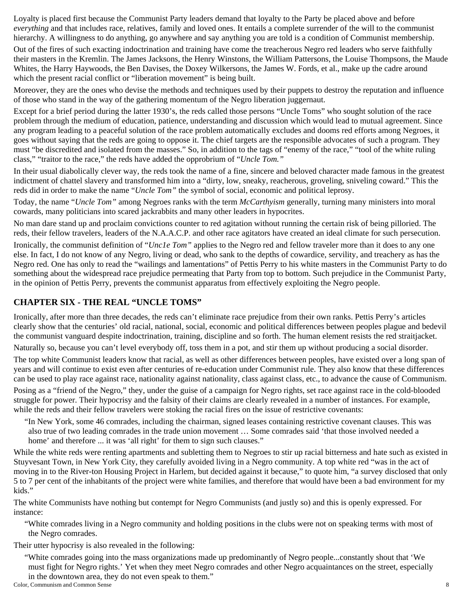Loyalty is placed first because the Communist Party leaders demand that loyalty to the Party be placed above and before *everything* and that includes race, relatives, family and loved ones. It entails a complete surrender of the will to the communist hierarchy. A willingness to do anything, go anywhere and say anything you are told is a condition of Communist membership.

Out of the fires of such exacting indoctrination and training have come the treacherous Negro red leaders who serve faithfully their masters in the Kremlin. The James Jacksons, the Henry Winstons, the William Pattersons, the Louise Thompsons, the Maude Whites, the Harry Haywoods, the Ben Davises, the Doxey Wilkersons, the James W. Fords, et al., make up the cadre around which the present racial conflict or "liberation movement" is being built.

Moreover, they are the ones who devise the methods and techniques used by their puppets to destroy the reputation and influence of those who stand in the way of the gathering momentum of the Negro liberation juggernaut.

Except for a brief period during the latter 1930's, the reds called those persons "Uncle Toms" who sought solution of the race problem through the medium of education, patience, understanding and discussion which would lead to mutual agreement. Since any program leading to a peaceful solution of the race problem automatically excludes and dooms red efforts among Negroes, it goes without saying that the reds are going to oppose it. The chief targets are the responsible advocates of such a program. They must "be discredited and isolated from the masses." So, in addition to the tags of "enemy of the race," "tool of the white ruling class," "traitor to the race," the reds have added the opprobrium of "*Uncle Tom."*

In their usual diabolically clever way, the reds took the name of a fine, sincere and beloved character made famous in the greatest indictment of chattel slavery and transformed him into a "dirty, low, sneaky, reacherous, groveling, sniveling coward." This the reds did in order to make the name "*Uncle Tom"* the symbol of social, economic and political leprosy.

Today, the name "*Uncle Tom"* among Negroes ranks with the term *McCarthyism* generally, turning many ministers into moral cowards, many politicians into scared jackrabbits and many other leaders in hypocrites.

No man dare stand up and proclaim convictions counter to red agitation without running the certain risk of being pilloried. The reds, their fellow travelers, leaders of the N.A.A.C.P. and other race agitators have created an ideal climate for such persecution.

Ironically, the communist definition of "*Unc1e Tom"* applies to the Negro red and fellow traveler more than it does to any one else. In fact, I do not know of any Negro, living or dead, who sank to the depths of cowardice, servility, and treachery as has the Negro red. One has only to read the "wailings and lamentations" of Pettis Perry to his white masters in the Communist Party to do something about the widespread race prejudice permeating that Party from top to bottom. Such prejudice in the Communist Party, in the opinion of Pettis Perry, prevents the communist apparatus from effectively exploiting the Negro people.

#### **CHAPTER SIX - THE REAL "UNCLE TOMS"**

Ironically, after more than three decades, the reds can't eliminate race prejudice from their own ranks. Pettis Perry's articles clearly show that the centuries' old racial, national, social, economic and political differences between peoples plague and bedevil the communist vanguard despite indoctrination, training, discipline and so forth. The human element resists the red straitjacket.

Naturally so, because you can't level everybody off, toss them in a pot, and stir them up without producing a social disorder.

The top white Communist leaders know that racial, as well as other differences between peoples, have existed over a long span of years and will continue to exist even after centuries of re-education under Communist rule. They also know that these differences can be used to play race against race, nationality against nationality, class against class, etc., to advance the cause of Communism.

Posing as a "friend of the Negro," they, under the guise of a campaign for Negro rights, set race against race in the cold-blooded struggle for power. Their hypocrisy and the falsity of their claims are clearly revealed in a number of instances. For example, while the reds and their fellow travelers were stoking the racial fires on the issue of restrictive covenants:

"In New York, some 46 comrades, including the chairman, signed leases containing restrictive covenant clauses. This was also true of two leading comrades in the trade union movement … Some comrades said 'that those involved needed a home' and therefore ... it was 'all right' for them to sign such clauses."

While the white reds were renting apartments and subletting them to Negroes to stir up racial bitterness and hate such as existed in Stuyvesant Town, in New York City, they carefully avoided living in a Negro community. A top white red "was in the act of moving in to the River-ton Housing Project in Harlem, but decided against it because," to quote him, "a survey disclosed that only 5 to 7 per cent of the inhabitants of the project were white families, and therefore that would have been a bad environment for my kids."

The white Communists have nothing but contempt for Negro Communists (and justly so) and this is openly expressed. For instance:

"White comrades living in a Negro community and holding positions in the clubs were not on speaking terms with most of the Negro comrades.

Their utter hypocrisy is also revealed in the following:

"White comrades going into the mass organizations made up predominantly of Negro people...constantly shout that 'We must fight for Negro rights.' Yet when they meet Negro comrades and other Negro acquaintances on the street, especially in the downtown area, they do not even speak to them."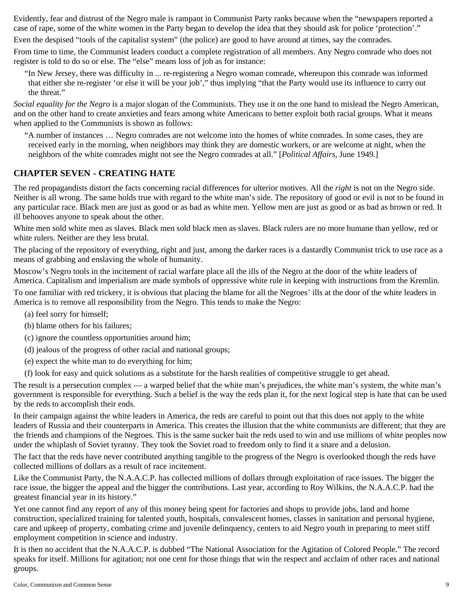Evidently, fear and distrust of the Negro male is rampant in Communist Party ranks because when the "newspapers reported a case of rape, some of the white women in the Party began to develop the idea that they should ask for police 'protection'."

Even the despised "tools of the capitalist system" (the police) are good to have around at times, say the comrades.

From time to time, the Communist leaders conduct a complete registration of all members. Any Negro comrade who does not register is told to do so or else. The "else" means loss of job as for instance:

"In New Jersey, there was difficulty in ... re-registering a Negro woman comrade, whereupon this comrade was informed that either she re-register 'or else it will be your job'," thus implying "that the Party would use its influence to carry out the threat."

*Social equality for the Negro* is a major slogan of the Communists. They use it on the one hand to mislead the Negro American, and on the other hand to create anxieties and fears among white Americans to better exploit both racial groups. What it means when applied to the Communists is shown as follows:

"A number of instances … Negro comrades are not welcome into the homes of white comrades. In some cases, they are received early in the morning, when neighbors may think they are domestic workers, or are welcome at night, when the neighbors of the white comrades might not see the Negro comrades at all." [*Political Affairs*, June 1949.]

#### **CHAPTER SEVEN - CREATING HATE**

The red propagandists distort the facts concerning racial differences for ulterior motives. All the *right* is not on the Negro side. Neither is all wrong. The same holds true with regard to the white man's side. The repository of good or evil is not to be found in any particular race. Black men are just as good or as bad as white men. Yellow men are just as good or as bad as brown or red. It ill behooves anyone to speak about the other.

White men sold white men as slaves. Black men sold black men as slaves. Black rulers are no more humane than yellow, red or white rulers. Neither are they less brutal.

The placing of the repository of everything, right and just, among the darker races is a dastardly Communist trick to use race as a means of grabbing and enslaving the whole of humanity.

Moscow's Negro tools in the incitement of racial warfare place all the ills of the Negro at the door of the white leaders of America. Capitalism and imperialism are made symbols of oppressive white rule in keeping with instructions from the Kremlin.

To one familiar with red trickery, it is obvious that placing the blame for all the Negroes' ills at the door of the white leaders in America is to remove all responsibility from the Negro. This tends to make the Negro:

- (a) feel sorry for himself;
- (b) blame others for his failures;
- (c) ignore the countless opportunities around him;
- (d) jealous of the progress of other racial and national groups;
- (e) expect the white man to do everything for him;

(f) look for easy and quick solutions as a substitute for the harsh realities of competitive struggle to get ahead.

The result is a persecution complex — a warped belief that the white man's prejudices, the white man's system, the white man's government is responsible for everything. Such a belief is the way the reds plan it, for the next logical step is hate that can be used by the reds to accomplish their ends.

In their campaign against the white leaders in America, the reds are careful to point out that this does not apply to the white leaders of Russia and their counterparts in America. This creates the illusion that the white communists are different; that they are the friends and champions of the Negroes. This is the same sucker bait the reds used to win and use millions of white peoples now under the whiplash of Soviet tyranny. They took the Soviet road to freedom only to find it a snare and a delusion.

The fact that the reds have never contributed anything tangible to the progress of the Negro is overlooked though the reds have collected millions of dollars as a result of race incitement.

Like the Communist Party, the N.A.A.C.P. has collected millions of dollars through exploitation of race issues. The bigger the race issue, the bigger the appeal and the bigger the contributions. Last year, according to Roy Wilkins, the N.A.A.C.P. had the greatest financial year in its history."

Yet one cannot find any report of any of this money being spent for factories and shops to provide jobs, land and home construction, specialized training for talented youth, hospitals, convalescent homes, classes in sanitation and personal hygiene, care and upkeep of property, combating crime and juvenile delinquency, centers to aid Negro youth in preparing to meet stiff employment competition in science and industry.

It is then no accident that the N.A.A.C.P. is dubbed "The National Association for the Agitation of Colored People." The record speaks for itself. Millions for agitation; not one cent for those things that win the respect and acclaim of other races and national groups.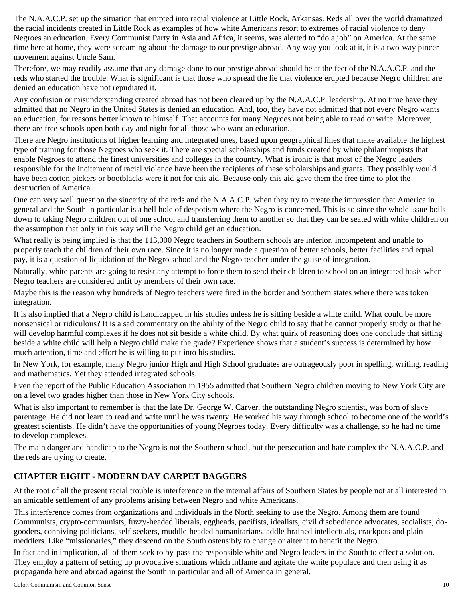The N.A.A.C.P. set up the situation that erupted into racial violence at Little Rock, Arkansas. Reds all over the world dramatized the racial incidents created in Little Rock as examples of how white Americans resort to extremes of racial violence to deny Negroes an education. Every Communist Party in Asia and Africa, it seems, was alerted to "do a job" on America. At the same time here at home, they were screaming about the damage to our prestige abroad. Any way you look at it, it is a two-way pincer movement against Uncle Sam.

Therefore, we may readily assume that any damage done to our prestige abroad should be at the feet of the N.A.A.C.P. and the reds who started the trouble. What is significant is that those who spread the lie that violence erupted because Negro children are denied an education have not repudiated it.

Any confusion or misunderstanding created abroad has not been cleared up by the N.A.A.C.P. leadership. At no time have they admitted that no Negro in the United States is denied an education. And, too, they have not admitted that not every Negro wants an education, for reasons better known to himself. That accounts for many Negroes not being able to read or write. Moreover, there are free schools open both day and night for all those who want an education.

There are Negro institutions of higher learning and integrated ones, based upon geographical lines that make available the highest type of training for those Negroes who seek it. There are special scholarships and funds created by white philanthropists that enable Negroes to attend the finest universities and colleges in the country. What is ironic is that most of the Negro leaders responsible for the incitement of racial violence have been the recipients of these scholarships and grants. They possibly would have been cotton pickers or bootblacks were it not for this aid. Because only this aid gave them the free time to plot the destruction of America.

One can very well question the sincerity of the reds and the N.A.A.C.P. when they try to create the impression that America in general and the South in particular is a hell hole of despotism where the Negro is concerned. This is so since the whole issue boils down to taking Negro children out of one school and transferring them to another so that they can be seated with white children on the assumption that only in this way will the Negro child get an education.

What really is being implied is that the 113,000 Negro teachers in Southern schools are inferior, incompetent and unable to properly teach the children of their own race. Since it is no longer made a question of better schools, better facilities and equal pay, it is a question of liquidation of the Negro school and the Negro teacher under the guise of integration.

Naturally, white parents are going to resist any attempt to force them to send their children to school on an integrated basis when Negro teachers are considered unfit by members of their own race.

Maybe this is the reason why hundreds of Negro teachers were fired in the border and Southern states where there was token integration.

It is also implied that a Negro child is handicapped in his studies unless he is sitting beside a white child. What could be more nonsensical or ridiculous? It is a sad commentary on the ability of the Negro child to say that he cannot properly study or that he will develop harmful complexes if he does not sit beside a white child. By what quirk of reasoning does one conclude that sitting beside a white child will help a Negro child make the grade? Experience shows that a student's success is determined by how much attention, time and effort he is willing to put into his studies.

In New York, for example, many Negro junior High and High School graduates are outrageously poor in spelling, writing, reading and mathematics. Yet they attended integrated schools.

Even the report of the Public Education Association in 1955 admitted that Southern Negro children moving to New York City are on a level two grades higher than those in New York City schools.

What is also important to remember is that the late Dr. George W. Carver, the outstanding Negro scientist, was born of slave parentage. He did not learn to read and write until he was twenty. He worked his way through school to become one of the world's greatest scientists. He didn't have the opportunities of young Negroes today. Every difficulty was a challenge, so he had no time to develop complexes.

The main danger and handicap to the Negro is not the Southern school, but the persecution and hate complex the N.A.A.C.P. and the reds are trying to create.

### **CHAPTER EIGHT - MODERN DAY CARPET BAGGERS**

At the root of all the present racial trouble is interference in the internal affairs of Southern States by people not at all interested in an amicable settlement of any problems arising between Negro and white Americans.

This interference comes from organizations and individuals in the North seeking to use the Negro. Among them are found Communists, crypto-communists, fuzzy-headed liberals, eggheads, pacifists, idealists, civil disobedience advocates, socialists, dogooders, conniving politicians, self-seekers, muddle-headed humanitarians, addle-brained intellectuals, crackpots and plain meddlers. Like "missionaries," they descend on the South ostensibly to change or alter it to benefit the Negro.

In fact and in implication, all of them seek to by-pass the responsible white and Negro leaders in the South to effect a solution. They employ a pattern of setting up provocative situations which inflame and agitate the white populace and then using it as propaganda here and abroad against the South in particular and all of America in general.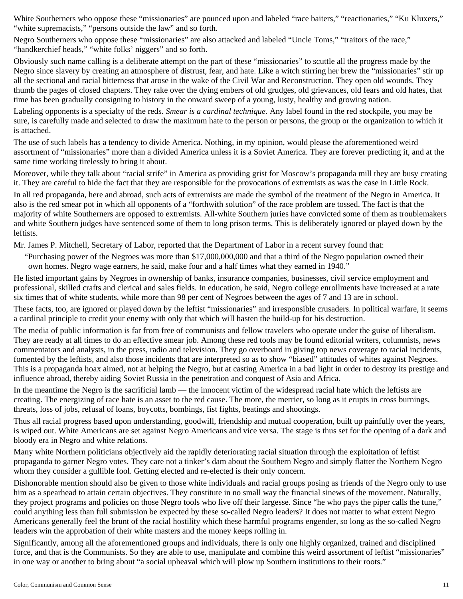White Southerners who oppose these "missionaries" are pounced upon and labeled "race baiters," "reactionaries," "Ku Kluxers," "white supremacists," "persons outside the law" and so forth.

Negro Southerners who oppose these "missionaries" are also attacked and labeled "Uncle Toms," "traitors of the race," "handkerchief heads," "white folks' niggers" and so forth.

Obviously such name calling is a deliberate attempt on the part of these "missionaries" to scuttle all the progress made by the Negro since slavery by creating an atmosphere of distrust, fear, and hate. Like a witch stirring her brew the "missionaries" stir up all the sectional and racial bitterness that arose in the wake of the Civil War and Reconstruction. They open old wounds. They thumb the pages of closed chapters. They rake over the dying embers of old grudges, old grievances, old fears and old hates, that time has been gradually consigning to history in the onward sweep of a young, lusty, healthy and growing nation.

Labeling opponents is a specialty of the reds. *Smear is a cardinal technique.* Any label found in the red stockpile, you may be sure, is carefully made and selected to draw the maximum hate to the person or persons, the group or the organization to which it is attached.

The use of such labels has a tendency to divide America. Nothing, in my opinion, would please the aforementioned weird assortment of "missionaries" more than a divided America unless it is a Soviet America. They are forever predicting it, and at the same time working tirelessly to bring it about.

Moreover, while they talk about "racial strife" in America as providing grist for Moscow's propaganda mill they are busy creating it. They are careful to hide the fact that they are responsible for the provocations of extremists as was the case in Little Rock.

In all red propaganda, here and abroad, such acts of extremists are made the symbol of the treatment of the Negro in America. It also is the red smear pot in which all opponents of a "forthwith solution" of the race problem are tossed. The fact is that the majority of white Southerners are opposed to extremists. All-white Southern juries have convicted some of them as troublemakers and white Southern judges have sentenced some of them to long prison terms. This is deliberately ignored or played down by the leftists.

Mr. James P. Mitchell, Secretary of Labor, reported that the Department of Labor in a recent survey found that:

"Purchasing power of the Negroes was more than \$17,000,000,000 and that a third of the Negro population owned their own homes. Negro wage earners, he said, make four and a half times what they earned in 1940."

He listed important gains by Negroes in ownership of banks, insurance companies, businesses, civil service employment and professional, skilled crafts and clerical and sales fields. In education, he said, Negro college enrollments have increased at a rate six times that of white students, while more than 98 per cent of Negroes between the ages of 7 and 13 are in school.

These facts, too, are ignored or played down by the leftist "missionaries" and irresponsible crusaders. In political warfare, it seems a cardinal principle to credit your enemy with only that which will hasten the build-up for his destruction.

The media of public information is far from free of communists and fellow travelers who operate under the guise of liberalism. They are ready at all times to do an effective smear job. Among these red tools may be found editorial writers, columnists, news commentators and analysts, in the press, radio and television. They go overboard in giving top news coverage to racial incidents, fomented by the leftists, and also those incidents that are interpreted so as to show "biased" attitudes of whites against Negroes. This is a propaganda hoax aimed, not at helping the Negro, but at casting America in a bad light in order to destroy its prestige and influence abroad, thereby aiding Soviet Russia in the penetration and conquest of Asia and Africa.

In the meantime the Negro is the sacrificial lamb — the innocent victim of the widespread racial hate which the leftists are creating. The energizing of race hate is an asset to the red cause. The more, the merrier, so long as it erupts in cross burnings, threats, loss of jobs, refusal of loans, boycotts, bombings, fist fights, beatings and shootings.

Thus all racial progress based upon understanding, goodwill, friendship and mutual cooperation, built up painfully over the years, is wiped out. White Americans are set against Negro Americans and vice versa. The stage is thus set for the opening of a dark and bloody era in Negro and white relations.

Many white Northern politicians objectively aid the rapidly deteriorating racial situation through the exploitation of leftist propaganda to garner Negro votes. They care not a tinker's dam about the Southern Negro and simply flatter the Northern Negro whom they consider a gullible fool. Getting elected and re-elected is their only concern.

Dishonorable mention should also be given to those white individuals and racial groups posing as friends of the Negro only to use him as a spearhead to attain certain objectives. They constitute in no small way the financial sinews of the movement. Naturally, they project programs and policies on those Negro tools who live off their largesse. Since "he who pays the piper calls the tune," could anything less than full submission be expected by these so-called Negro leaders? It does not matter to what extent Negro Americans generally feel the brunt of the racial hostility which these harmful programs engender, so long as the so-called Negro leaders win the approbation of their white masters and the money keeps rolling in.

Significantly, among all the aforementioned groups and individuals, there is only one highly organized, trained and disciplined force, and that is the Communists. So they are able to use, manipulate and combine this weird assortment of leftist "missionaries" in one way or another to bring about "a social upheaval which will plow up Southern institutions to their roots."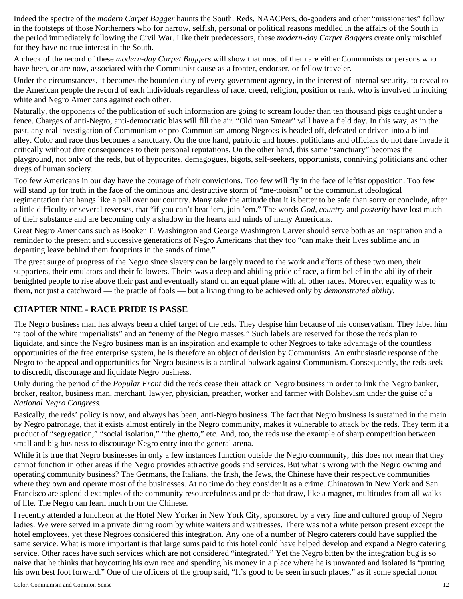Indeed the spectre of the *modern Carpet Bagger* haunts the South. Reds, NAACPers, do-gooders and other "missionaries" follow in the footsteps of those Northerners who for narrow, selfish, personal or political reasons meddled in the affairs of the South in the period immediately following the Civil War. Like their predecessors, these *modern-day Carpet Baggers* create only mischief for they have no true interest in the South.

A check of the record of these *modern-day Carpet Baggers* will show that most of them are either Communists or persons who have been, or are now, associated with the Communist cause as a fronter, endorser, or fellow traveler.

Under the circumstances, it becomes the bounden duty of every government agency, in the interest of internal security, to reveal to the American people the record of each individuals regardless of race, creed, religion, position or rank, who is involved in inciting white and Negro Americans against each other.

Naturally, the opponents of the publication of such information are going to scream louder than ten thousand pigs caught under a fence. Charges of anti-Negro, anti-democratic bias will fill the air. "Old man Smear" will have a field day. In this way, as in the past, any real investigation of Communism or pro-Communism among Negroes is headed off, defeated or driven into a blind alley. Color and race thus becomes a sanctuary. On the one hand, patriotic and honest politicians and officials do not dare invade it critically without dire consequences to their personal reputations. On the other hand, this same "sanctuary" becomes the playground, not only of the reds, but of hypocrites, demagogues, bigots, self-seekers, opportunists, conniving politicians and other dregs of human society.

Too few Americans in our day have the courage of their convictions. Too few will fly in the face of leftist opposition. Too few will stand up for truth in the face of the ominous and destructive storm of "me-tooism" or the communist ideological regimentation that hangs like a pall over our country. Many take the attitude that it is better to be safe than sorry or conclude, after a little difficulty or several reverses, that "if you can't beat 'em, join 'em." The words *God, country* and *posterity* have lost much of their substance and are becoming only a shadow in the hearts and minds of many Americans.

Great Negro Americans such as Booker T. Washington and George Washington Carver should serve both as an inspiration and a reminder to the present and successive generations of Negro Americans that they too "can make their lives sublime and in departing leave behind them footprints in the sands of time."

The great surge of progress of the Negro since slavery can be largely traced to the work and efforts of these two men, their supporters, their emulators and their followers. Theirs was a deep and abiding pride of race, a firm belief in the ability of their benighted people to rise above their past and eventually stand on an equal plane with all other races. Moreover, equality was to them, not just a catchword — the prattle of fools — but a living thing to be achieved only by *demonstrated ability.*

#### **CHAPTER NINE - RACE PRIDE IS PASSE**

The Negro business man has always been a chief target of the reds. They despise him because of his conservatism. They label him "a tool of the white imperialists" and an "enemy of the Negro masses." Such labels are reserved for those the reds plan to liquidate, and since the Negro business man is an inspiration and example to other Negroes to take advantage of the countless opportunities of the free enterprise system, he is therefore an object of derision by Communists. An enthusiastic response of the Negro to the appeal and opportunities for Negro business is a cardinal bulwark against Communism. Consequently, the reds seek to discredit, discourage and liquidate Negro business.

Only during the period of the *Popular Front* did the reds cease their attack on Negro business in order to link the Negro banker, broker, realtor, business man, merchant, lawyer, physician, preacher, worker and farmer with Bolshevism under the guise of a *National Negro Congress.*

Basically, the reds' policy is now, and always has been, anti-Negro business. The fact that Negro business is sustained in the main by Negro patronage, that it exists almost entirely in the Negro community, makes it vulnerable to attack by the reds. They term it a product of "segregation," "social isolation," "the ghetto," etc. And, too, the reds use the example of sharp competition between small and big business to discourage Negro entry into the general arena.

While it is true that Negro businesses in only a few instances function outside the Negro community, this does not mean that they cannot function in other areas if the Negro provides attractive goods and services. But what is wrong with the Negro owning and operating community business? The Germans, the Italians, the Irish, the Jews, the Chinese have their respective communities where they own and operate most of the businesses. At no time do they consider it as a crime. Chinatown in New York and San Francisco are splendid examples of the community resourcefulness and pride that draw, like a magnet, multitudes from all walks of life. The Negro can learn much from the Chinese.

I recently attended a luncheon at the Hotel New Yorker in New York City, sponsored by a very fine and cultured group of Negro ladies. We were served in a private dining room by white waiters and waitresses. There was not a white person present except the hotel employees, yet these Negroes considered this integration. Any one of a number of Negro caterers could have supplied the same service. What is more important is that large sums paid to this hotel could have helped develop and expand a Negro catering service. Other races have such services which are not considered "integrated." Yet the Negro bitten by the integration bug is so naive that he thinks that boycotting his own race and spending his money in a place where he is unwanted and isolated is "putting his own best foot forward." One of the officers of the group said, "It's good to be seen in such places," as if some special honor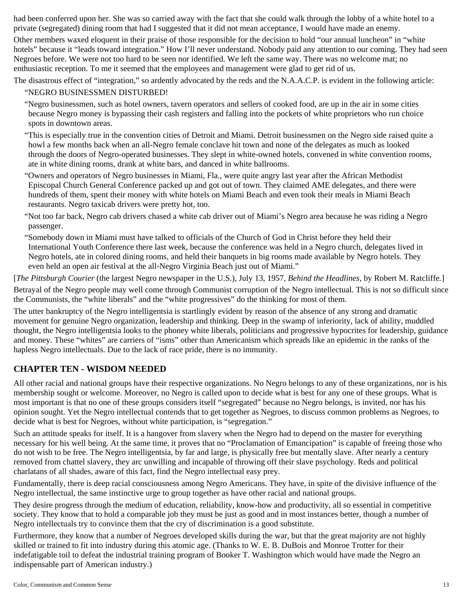had been conferred upon her. She was so carried away with the fact that she could walk through the lobby of a white hotel to a private (segregated) dining room that had I suggested that it did not mean acceptance, I would have made an enemy.

Other members waxed eloquent in their praise of those responsible for the decision to hold "our annual luncheon" in "white hotels" because it "leads toward integration." How I'll never understand. Nobody paid any attention to our coming. They had seen Negroes before. We were not too hard to be seen nor identified. We left the same way. There was no welcome mat; no enthusiastic reception. To me it seemed that the employees and management were glad to get rid of us.

The disastrous effect of "integration," so ardently advocated by the reds and the N.A.A.C.P. is evident in the following article:

#### "NEGRO BUSINESSMEN DISTURBED!

- "Negro businessmen, such as hotel owners, tavern operators and sellers of cooked food, are up in the air in some cities because Negro money is bypassing their cash registers and falling into the pockets of white proprietors who run choice spots in downtown areas.
- "This is especially true in the convention cities of Detroit and Miami. Detroit businessmen on the Negro side raised quite a howl a few months back when an all-Negro female conclave hit town and none of the delegates as much as looked through the doors of Negro-operated businesses. They slept in white-owned hotels, convened in white convention rooms, ate in white dining rooms, drank at white bars, and danced in white ballrooms.
- "Owners and operators of Negro businesses in Miami, Fla., were quite angry last year after the African Methodist Episcopal Church General Conference packed up and got out of town. They claimed AME delegates, and there were hundreds of them, spent their money with white hotels on Miami Beach and even took their meals in Miami Beach restaurants. Negro taxicab drivers were pretty hot, too.
- "Not too far back, Negro cab drivers chased a white cab driver out of Miami's Negro area because he was riding a Negro passenger.

"Somebody down in Miami must have talked to officials of the Church of God in Christ before they held their International Youth Conference there last week, because the conference was held in a Negro church, delegates lived in Negro hotels, ate in colored dining rooms, and held their banquets in big rooms made available by Negro hotels. They even held an open air festival at the all-Negro Virginia Beach just out of Miami."

[*The Pittsburgh Courier* (the largest Negro newspaper in the U.S.), July 13, 1957*, Behind the Headlines,* by Robert M. Ratcliffe*.*]

Betrayal of the Negro people may well come through Communist corruption of the Negro intellectual. This is not so difficult since the Communists, the "white liberals" and the "white progressives" do the thinking for most of them.

The utter bankruptcy of the Negro intelligentsia is startlingly evident by reason of the absence of any strong and dramatic movement for genuine Negro organization, leadership and thinking. Deep in the swamp of inferiority, lack of ability, muddled thought, the Negro intelligentsia looks to the phoney white liberals, politicians and progressive hypocrites for leadership, guidance and money. These "whites" are carriers of "isms" other than Americanism which spreads like an epidemic in the ranks of the hapless Negro intellectuals. Due to the lack of race pride, there is no immunity.

# **CHAPTER TEN - WISDOM NEEDED**

All other racial and national groups have their respective organizations. No Negro belongs to any of these organizations, nor is his membership sought or welcome. Moreover, no Negro is called upon to decide what is best for any one of these groups. What is most important is that no one of these groups considers itself "segregated" because no Negro belongs, is invited, nor has his opinion sought. Yet the Negro intellectual contends that to get together as Negroes, to discuss common problems as Negroes, to decide what is best for Negroes, without white participation, is "segregation."

Such an attitude speaks for itself. It is a hangover from slavery when the Negro had to depend on the master for everything necessary for his well being. At the same time, it proves that no "Proclamation of Emancipation" is capable of freeing those who do not wish to be free. The Negro intelligentsia, by far and large, is physically free but mentally slave. After nearly a century removed from chattel slavery, they arc unwilling and incapable of throwing off their slave psychology. Reds and political charlatans of all shades, aware of this fact, find the Negro intellectual easy prey.

Fundamentally, there is deep racial consciousness among Negro Americans. They have, in spite of the divisive influence of the Negro intellectual, the same instinctive urge to group together as have other racial and national groups.

They desire progress through the medium of education, reliability, know-how and productivity, all so essential in competitive society. They know that to hold a comparable job they must be just as good and in most instances better, though a number of Negro intellectuals try to convince them that the cry of discrimination is a good substitute.

Furthermore, they know that a number of Negroes developed skills during the war, but that the great majority are not highly skilled or trained to fit into industry during this atomic age. (Thanks to W. E. B. DuBois and Monroe Trotter for their indefatigable toil to defeat the industrial training program of Booker T. Washington which would have made the Negro an indispensable part of American industry.)